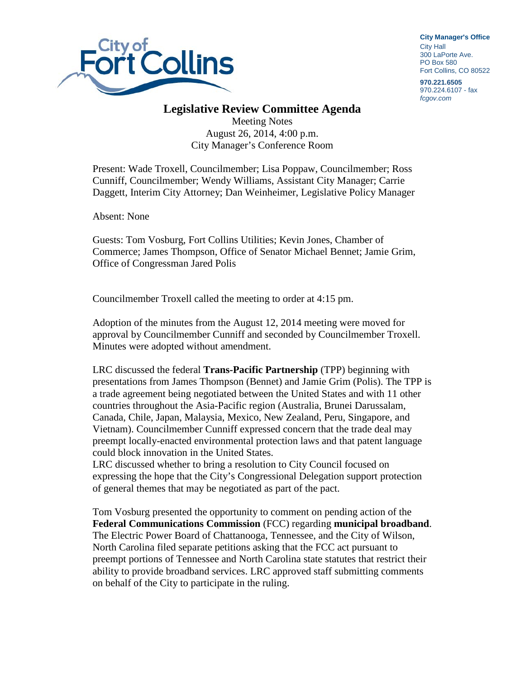

**City Manager**'**s Office** City Hall 300 LaPorte Ave. PO Box 580 Fort Collins, CO 80522

**970.221.6505** 970.224.6107 - fax *fcgov.com*

## **Legislative Review Committee Agenda**

Meeting Notes August 26, 2014, 4:00 p.m. City Manager's Conference Room

Present: Wade Troxell, Councilmember; Lisa Poppaw, Councilmember; Ross Cunniff, Councilmember; Wendy Williams, Assistant City Manager; Carrie Daggett, Interim City Attorney; Dan Weinheimer, Legislative Policy Manager

Absent: None

Guests: Tom Vosburg, Fort Collins Utilities; Kevin Jones, Chamber of Commerce; James Thompson, Office of Senator Michael Bennet; Jamie Grim, Office of Congressman Jared Polis

Councilmember Troxell called the meeting to order at 4:15 pm.

Adoption of the minutes from the August 12, 2014 meeting were moved for approval by Councilmember Cunniff and seconded by Councilmember Troxell. Minutes were adopted without amendment.

LRC discussed the federal **Trans-Pacific Partnership** (TPP) beginning with presentations from James Thompson (Bennet) and Jamie Grim (Polis). The TPP is a trade agreement being negotiated between the United States and with 11 other countries throughout the Asia-Pacific region (Australia, Brunei Darussalam, Canada, Chile, Japan, Malaysia, Mexico, New Zealand, Peru, Singapore, and Vietnam). Councilmember Cunniff expressed concern that the trade deal may preempt locally-enacted environmental protection laws and that patent language could block innovation in the United States.

LRC discussed whether to bring a resolution to City Council focused on expressing the hope that the City's Congressional Delegation support protection of general themes that may be negotiated as part of the pact.

Tom Vosburg presented the opportunity to comment on pending action of the **Federal Communications Commission** (FCC) regarding **municipal broadband**. The Electric Power Board of Chattanooga, Tennessee, and the City of Wilson, North Carolina filed separate petitions asking that the FCC act pursuant to preempt portions of Tennessee and North Carolina state statutes that restrict their ability to provide broadband services. LRC approved staff submitting comments on behalf of the City to participate in the ruling.